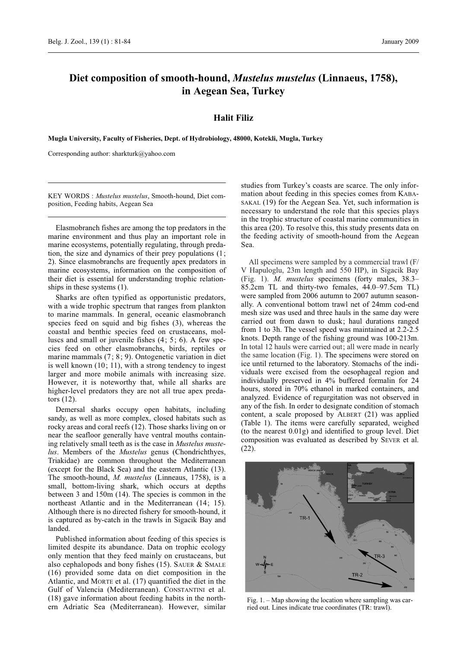# **Diet composition of smooth-hound,** *Mustelus mustelus* **(Linnaeus, 1758), in Aegean Sea, Turkey**

### **Halit Filiz**

**Mugla University, Faculty of Fisheries, Dept. of Hydrobiology, 48000, Kotekli, Mugla, Turkey**

Corresponding author: sharkturk@yahoo.com

KEY WORDS : *Mustelus mustelus*, Smooth-hound, Diet composition, Feeding habits, Aegean Sea

Elasmobranch fishes are among the top predators in the marine environment and thus play an important role in marine ecosystems, potentially regulating, through predation, the size and dynamics of their prey populations (1; 2). Since elasmobranchs are frequently apex predators in marine ecosystems, information on the composition of their diet is essential for understanding trophic relationships in these systems (1).

Sharks are often typified as opportunistic predators, with a wide trophic spectrum that ranges from plankton to marine mammals. In general, oceanic elasmobranch species feed on squid and big fishes (3), whereas the coastal and benthic species feed on crustaceans, molluscs and small or juvenile fishes (4; 5; 6). A few species feed on other elasmobranchs, birds, reptiles or marine mammals (7; 8; 9). Ontogenetic variation in diet is well known (10; 11), with a strong tendency to ingest larger and more mobile animals with increasing size. However, it is noteworthy that, while all sharks are higher-level predators they are not all true apex predators (12).

Demersal sharks occupy open habitats, including sandy, as well as more complex, closed habitats such as rocky areas and coral reefs (12). Those sharks living on or near the seafloor generally have ventral mouths containing relatively small teeth as is the case in *Mustelus mustelus*. Members of the *Mustelus* genus (Chondrichthyes, Triakidae) are common throughout the Mediterranean (except for the Black Sea) and the eastern Atlantic (13). The smooth-hound, *M. mustelus* (Linneaus, 1758), is a small, bottom-living shark, which occurs at depths between 3 and 150m (14). The species is common in the northeast Atlantic and in the Mediterranean (14; 15). Although there is no directed fishery for smooth-hound, it is captured as by-catch in the trawls in Sigacik Bay and landed.

Published information about feeding of this species is limited despite its abundance. Data on trophic ecology only mention that they feed mainly on crustaceans, but also cephalopods and bony fishes (15). SAUER & SMALE (16) provided some data on diet composition in the Atlantic, and MORTE et al. (17) quantified the diet in the Gulf of Valencia (Mediterranean). CONSTANTINI et al. (18) gave information about feeding habits in the northern Adriatic Sea (Mediterranean). However, similar

studies from Turkey's coasts are scarce. The only information about feeding in this species comes from KABA-SAKAL (19) for the Aegean Sea. Yet, such information is necessary to understand the role that this species plays in the trophic structure of coastal marine communities in this area (20). To resolve this, this study presents data on the feeding activity of smooth-hound from the Aegean Sea.

All specimens were sampled by a commercial trawl (F/ V Hapuloglu, 23m length and 550 HP), in Sigacik Bay (Fig. 1). *M. mustelus* specimens (forty males, 38.3– 85.2cm TL and thirty-two females, 44.0–97.5cm TL) were sampled from 2006 autumn to 2007 autumn seasonally. A conventional bottom trawl net of 24mm cod-end mesh size was used and three hauls in the same day were carried out from dawn to dusk; haul durations ranged from 1 to 3h. The vessel speed was maintained at 2.2-2.5 knots. Depth range of the fishing ground was 100-213m. In total 12 hauls were carried out; all were made in nearly the same location (Fig. 1). The specimens were stored on ice until returned to the laboratory. Stomachs of the individuals were excised from the oesophageal region and individually preserved in 4% buffered formalin for 24 hours, stored in 70% ethanol in marked containers, and analyzed. Evidence of regurgitation was not observed in any of the fish. In order to designate condition of stomach content, a scale proposed by ALBERT (21) was applied (Table 1). The items were carefully separated, weighed (to the nearest 0.01g) and identified to group level. Diet composition was evaluated as described by SEVER et al. (22).



Fig. 1. – Map showing the location where sampling was carried out. Lines indicate true coordinates (TR: trawl).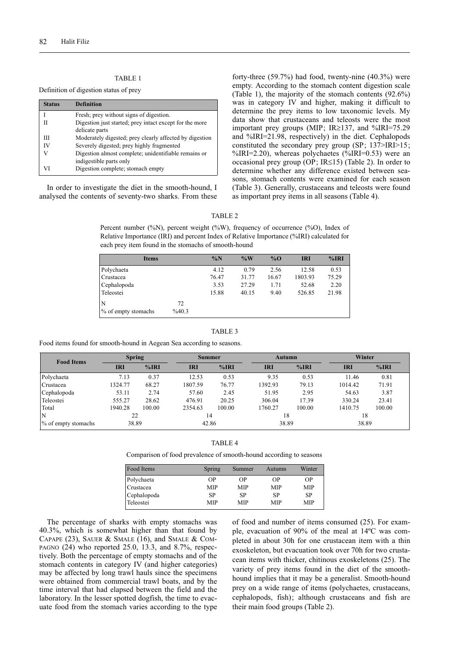### TABLE 1

Definition of digestion status of prey

| <b>Status</b> | <b>Definition</b>                                       |
|---------------|---------------------------------------------------------|
|               | Fresh; prey without signs of digestion.                 |
| П             | Digestion just started; prey intact except for the more |
|               | delicate parts                                          |
| Ш             | Moderately digested; prey clearly affected by digestion |
| IV            | Severely digested; prey highly fragmented               |
|               | Digestion almost complete; unidentifiable remains or    |
|               | indigestible parts only                                 |
| VI            | Digestion complete; stomach empty                       |

In order to investigate the diet in the smooth-hound, I analysed the contents of seventy-two sharks. From these forty-three (59.7%) had food, twenty-nine (40.3%) were empty. According to the stomach content digestion scale (Table 1), the majority of the stomach contents (92.6%) was in category IV and higher, making it difficult to determine the prey items to low taxonomic levels. My data show that crustaceans and teleosts were the most important prey groups (MIP; IR $\ge$ 137, and %IRI=75.29 and %IRI=21.98, respectively) in the diet. Cephalopods constituted the secondary prey group (SP; 137>IRI>15; %IRI=2.20), whereas polychaetes (%IRI=0.53) were an occasional prey group (OP; IR $\leq$ 15) (Table 2). In order to determine whether any difference existed between seasons, stomach contents were examined for each season (Table 3). Generally, crustaceans and teleosts were found as important prey items in all seasons (Table 4).

#### TABLE 2

Percent number (%N), percent weight (%W), frequency of occurrence (%O), Index of Relative Importance (IRI) and percent Index of Relative Importance (%IRI) calculated for each prey item found in the stomachs of smooth-hound

| <b>Items</b>        |       | $\%N$ | $\%W$ | $\%$ O | <b>IRI</b> | %IRI  |
|---------------------|-------|-------|-------|--------|------------|-------|
| Polychaeta          |       | 4.12  | 0.79  | 2.56   | 12.58      | 0.53  |
| Crustacea           |       | 76.47 | 31.77 | 16.67  | 1803.93    | 75.29 |
| Cephalopoda         |       | 3.53  | 27.29 | 1.71   | 52.68      | 2.20  |
| Teleostei           |       | 15.88 | 40.15 | 9.40   | 526.85     | 21.98 |
| N                   | 72    |       |       |        |            |       |
| % of empty stomachs | %40.3 |       |       |        |            |       |

#### TABLE 3

Food items found for smooth-hound in Aegean Sea according to seasons.

| <b>Food Items</b>   | <b>Spring</b> |        | <b>Summer</b> |        | <b>Autumn</b> |        | Winter     |        |
|---------------------|---------------|--------|---------------|--------|---------------|--------|------------|--------|
|                     | <b>IRI</b>    | %IRI   | IRI           | %IRI   | <b>IRI</b>    | %IRI   | <b>IRI</b> | %IRI   |
| Polychaeta          | 7.13          | 0.37   | 12.53         | 0.53   | 9.35          | 0.53   | 11.46      | 0.81   |
| Crustacea           | 1324.77       | 68.27  | 1807.59       | 76.77  | 1392.93       | 79.13  | 1014.42    | 71.91  |
| Cephalopoda         | 53.11         | 2.74   | 57.60         | 2.45   | 51.95         | 2.95   | 54.63      | 3.87   |
| Teleostei           | 555.27        | 28.62  | 476.91        | 20.25  | 306.04        | 17.39  | 330.24     | 23.41  |
| Total               | 1940.28       | 100.00 | 2354.63       | 100.00 | 1760.27       | 100.00 | 1410.75    | 100.00 |
| IN                  | 22            |        | 14            |        | 18            |        | 18         |        |
| % of empty stomachs | 38.89         |        | 42.86         |        | 38.89         |        | 38.89      |        |

Comparison of food prevalence of smooth-hound according to seasons

| Food Items  | Spring     | Summer    | Autumn | Winter    |
|-------------|------------|-----------|--------|-----------|
| Polychaeta  | OΡ         | ΟP        | ΟP     | OΡ        |
| Crustacea   | <b>MIP</b> | MIP       | MIP    | MIP       |
| Cephalopoda | <b>SP</b>  | <b>SP</b> | SP     | <b>SP</b> |
| Teleostei   | MIP        | MIP       | MIP    | MIP       |

The percentage of sharks with empty stomachs was 40.3%, which is somewhat higher than that found by CAPAPE (23), SAUER & SMALE (16), and SMALE & COM-PAGNO (24) who reported 25.0, 13.3, and 8.7%, respectively. Both the percentage of empty stomachs and of the stomach contents in category IV (and higher categories) may be affected by long trawl hauls since the specimens were obtained from commercial trawl boats, and by the time interval that had elapsed between the field and the laboratory. In the lesser spotted dogfish, the time to evacuate food from the stomach varies according to the type of food and number of items consumed (25). For example, evacuation of 90% of the meal at 14ºC was completed in about 30h for one crustacean item with a thin exoskeleton, but evacuation took over 70h for two crustacean items with thicker, chitinous exoskeletons (25). The variety of prey items found in the diet of the smoothhound implies that it may be a generalist. Smooth-hound prey on a wide range of items (polychaetes, crustaceans, cephalopods, fish); although crustaceans and fish are their main food groups (Table 2).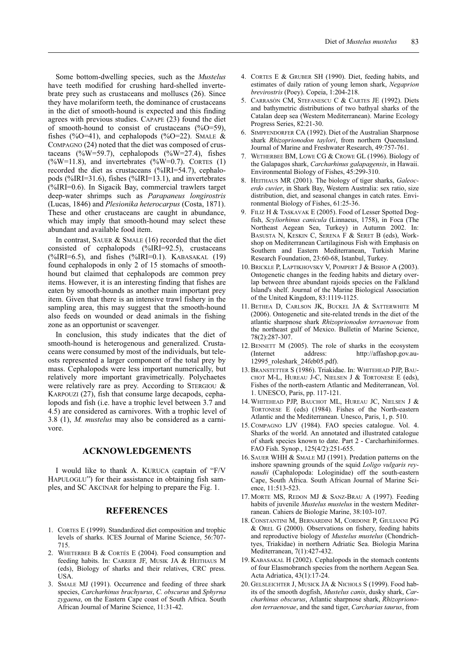Some bottom-dwelling species, such as the *Mustelus* have teeth modified for crushing hard-shelled invertebrate prey such as crustaceans and molluscs (26). Since they have molariform teeth, the dominance of crustaceans in the diet of smooth-hound is expected and this finding agrees with previous studies. CAPAPE (23) found the diet of smooth-hound to consist of crustaceans  $(\%0=59)$ , fishes (% $O=41$ ), and cephalopods (% $O=22$ ). SMALE & COMPAGNO (24) noted that the diet was composed of crustaceans  $(\%W=59.7)$ , cephalopods  $(\%W=27.4)$ , fishes  $(\%W=11.8)$ , and invertebrates  $(\%W=0.7)$ . CORTES (1) recorded the diet as crustaceans (%IRI=54.7), cephalopods (%IRI=31.6), fishes (%IRI=13.1), and invertebrates (%IRI=0.6). In Sigacik Bay, commercial trawlers target deep-water shrimps such as *Parapaneus longirostris* (Lucas, 1846) and *Plesionika heterocarpus* (Costa, 1871). These and other crustaceans are caught in abundance, which may imply that smooth-hound may select these abundant and available food item.

In contrast, SAUER & SMALE (16) recorded that the diet consisted of cephalopods (%IRI=92.5), crustaceans  $(^{\circ}\%IRI=6.5)$ , and fishes  $(^{\circ}\%IRI=0.1)$ . KABASAKAL (19) found cephalopods in only 2 of 15 stomachs of smoothhound but claimed that cephalopods are common prey items. However, it is an interesting finding that fishes are eaten by smooth-hounds as another main important prey item. Given that there is an intensive trawl fishery in the sampling area, this may suggest that the smooth-hound also feeds on wounded or dead animals in the fishing zone as an opportunist or scavenger.

In conclusion, this study indicates that the diet of smooth-hound is heterogenous and generalized. Crustaceans were consumed by most of the individuals, but teleosts represented a larger component of the total prey by mass. Cephalopods were less important numerically, but relatively more important gravimetrically. Polychaetes were relatively rare as prey. According to STERGIOU & KARPOUZI (27), fish that consume large decapods, cephalopods and fish (i.e. have a trophic level between 3.7 and 4.5) are considered as carnivores. With a trophic level of 3.8 (1), *M. mustelus* may also be considered as a carnivore.

## **ACKNOWLEDGEMENTS**

I would like to thank A. KURUCA (captain of "F/V HAPULOGLU") for their assistance in obtaining fish samples, and SC AKCINAR for helping to prepare the Fig. 1.

### **REFERENCES**

- 1. CORTES E (1999). Standardized diet composition and trophic levels of sharks. ICES Journal of Marine Science, 56:707- 715.
- 2. WHETERBEE B & CORTÉS E (2004). Food consumption and feeding habits. In: CARRIER JF, MUSIK JA & HEITHAUS M (eds), Biology of sharks and their relatives, CRC press. USA.
- 3. SMALE MJ (1991). Occurrence and feeding of three shark species, *Carcharhinus brachyurus*, *C. obscurus* and *Sphyrna zygaena*, on the Eastern Cape coast of South Africa. South African Journal of Marine Science, 11:31-42.
- 4. CORTES E & GRUBER SH (1990). Diet, feeding habits, and estimates of daily ration of young lemon shark, *Negaprion brevirostris* (Poey). Copeia, 1:204-218.
- 5. CARRASÓN CM, STEFANESCU C & CARTES JE (1992). Diets and bathymetric distributions of two bathyal sharks of the Catalan deep sea (Western Mediterranean). Marine Ecology Progress Series, 82:21-30.
- 6. SIMPFENDORFER CA (1992). Diet of the Australian Sharpnose shark *Rhizoprionodon taylori*, from northern Queensland. Journal of Marine and Freshwater Research, 49:757-761.
- 7. WETHERBEE BM, LOWE CG & CROWE GL (1996). Biology of the Galapagos shark, *Carcharhinus galapagensis*, in Hawaii. Environmental Biology of Fishes, 45:299-310.
- 8. HEITHAUS MR (2001). The biology of tiger sharks, *Galeocerdo cuvier*, in Shark Bay, Western Australia: sex ratio, size distribution, diet, and seasonal changes in catch rates. Environmental Biology of Fishes, 61:25-36.
- 9. FILIZ H & TASKAVAK E (2005). Food of Lesser Spotted Dogfish, *Scyliorhinus canicula* (Linnaeus, 1758), in Foca (The Northeast Aegean Sea, Turkey) in Autumn 2002. In: BASUSTA N, KESKIN C, SERENA F & SERET B (eds), Workshop on Mediterranean Cartilaginous Fish with Emphasis on Southern and Eastern Mediterranean, Turkish Marine Research Foundation, 23:60-68, Istanbul, Turkey.
- 10. BRICKLE P, LAPTIKHOVSKY V, POMPERT J & BISHOP A (2003). Ontogenetic changes in the feeding habits and dietary overlap between three abundant rajoids species on the Falkland Island's shelf. Journal of the Marine Biological Association of the United Kingdom, 83:1119-1125.
- 11. BETHEA D, CARLSON JK, BUCKEL JA & SATTERWHITE M (2006). Ontogenetic and site-related trends in the diet of the atlantic sharpnose shark *Rhizoprionodon terraenovae* from the northeast gulf of Mexico. Bulletin of Marine Science, 78(2):287-307.
- 12. BENNETT M (2005). The role of sharks in the ecosystem (Internet address: http://affashop.gov.au-12995\_roleshark\_24feb05.pdf).
- 13. BRANSTETTER S (1986). Triakidae. In: WHITEHEAD PJP, BAU-CHOT M-L, HUREAU J-C, NIELSEN J & TORTONESE E (eds), Fishes of the north-eastern Atlantic and Mediterranean, Vol. 1. UNESCO, Paris, pp. 117-121.
- 14. WHITEHEAD PJP, BAUCHOT ML, HUREAU JC, NIELSEN J & TORTONESE E (eds) (1984). Fishes of the North-eastern Atlantic and the Mediterranean. Unesco, Paris, 1, p. 510.
- 15. COMPAGNO LJV (1984). FAO species catalogue. Vol. 4. Sharks of the world. An annotated and illustrated catalogue of shark species known to date. Part 2 - Carcharhiniformes. FAO Fish. Synop., 125(4/2):251-655.
- 16. SAUER WHH & SMALE MJ (1991). Predation patterns on the inshore spawning grounds of the squid *Loligo vulgaris reynaudii* (Caphalopoda: Lologinidae) off the south-eastern Cape, South Africa. South African Journal of Marine Science, 11:513-523.
- 17. MORTE MS, REDON MJ & SANZ-BRAU A (1997). Feeding habits of juvenile *Mustelus mustelus* in the western Mediterranean. Cahiers de Biologie Marine, 38:103-107.
- 18. CONSTANTINI M, BERNARDINI M, CORDONE P, GIULIANNI PG & OREL G (2000). Observations on fishery, feeding habits and reproductive biology of *Mustelus mustelus* (Chondrichtyes, Triakidae) in northern Adriatic Sea. Biologia Marina Mediterranean, 7(1):427-432.
- 19. KABASAKAL H (2002). Cephalopods in the stomach contents of four Elasmobranch species from the northern Aegean Sea. Acta Adriatica, 43(1):17-24.
- 20. GELSLEICHTER J, MUSICK JA & NICHOLS S (1999). Food habits of the smooth dogfish, *Mustelus canis*, dusky shark, *Carcharhinus obscurus*, Atlantic sharpnose shark, *Rhizoprionodon terraenovae*, and the sand tiger, *Carcharias taurus*, from